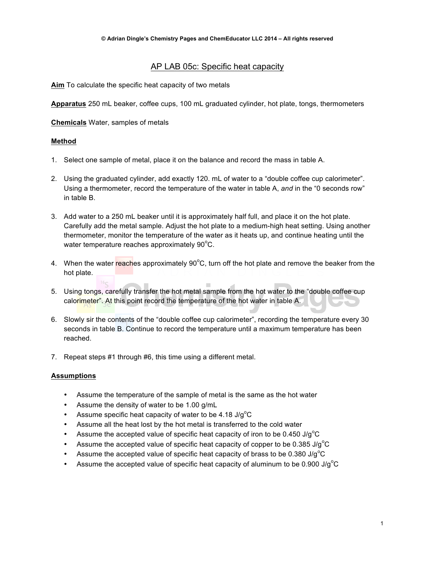### AP LAB 05c: Specific heat capacity

**Aim** To calculate the specific heat capacity of two metals

**Apparatus** 250 mL beaker, coffee cups, 100 mL graduated cylinder, hot plate, tongs, thermometers

**Chemicals** Water, samples of metals

### **Method**

- 1. Select one sample of metal, place it on the balance and record the mass in table A.
- 2. Using the graduated cylinder, add exactly 120. mL of water to a "double coffee cup calorimeter". Using a thermometer, record the temperature of the water in table A, *and* in the "0 seconds row" in table B.
- 3. Add water to a 250 mL beaker until it is approximately half full, and place it on the hot plate. Carefully add the metal sample. Adjust the hot plate to a medium-high heat setting. Using another thermometer, monitor the temperature of the water as it heats up, and continue heating until the water temperature reaches approximately  $90^{\circ}$ C.
- 4. When the water reaches approximately 90°C, turn off the hot plate and remove the beaker from the hot plate.
- 5. Using tongs, carefully transfer the hot metal sample from the hot water to the "double coffee cup calorimeter". At this point record the temperature of the hot water in table A.
- 6. Slowly sir the contents of the "double coffee cup calorimeter", recording the temperature every 30 seconds in table B. Continue to record the temperature until a maximum temperature has been reached.
- 7. Repeat steps #1 through #6, this time using a different metal.

### **Assumptions**

- Assume the temperature of the sample of metal is the same as the hot water
- Assume the density of water to be 1.00 g/mL
- Assume specific heat capacity of water to be  $4.18 \text{ J/g}^{\circ}\text{C}$
- Assume all the heat lost by the hot metal is transferred to the cold water
- Assume the accepted value of specific heat capacity of iron to be 0.450 J/g<sup>o</sup>C
- Assume the accepted value of specific heat capacity of copper to be 0.385 J/g $^{\circ}$ C
- Assume the accepted value of specific heat capacity of brass to be 0.380 J/g<sup>o</sup>C
- Assume the accepted value of specific heat capacity of aluminum to be 0.900 J/g $^{\circ}$ C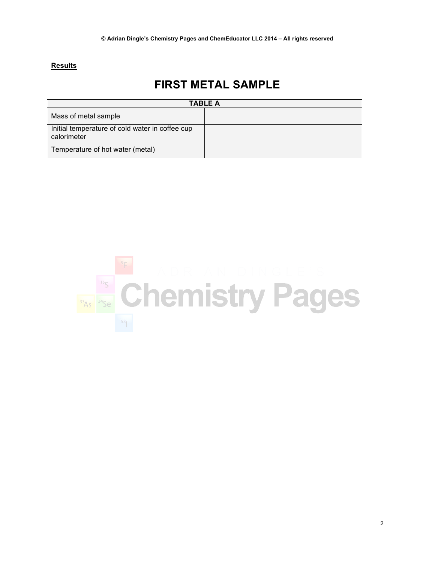### **Results**

# **FIRST METAL SAMPLE**

| <b>TABLE A</b>                                                 |  |  |
|----------------------------------------------------------------|--|--|
| Mass of metal sample                                           |  |  |
| Initial temperature of cold water in coffee cup<br>calorimeter |  |  |
| Temperature of hot water (metal)                               |  |  |

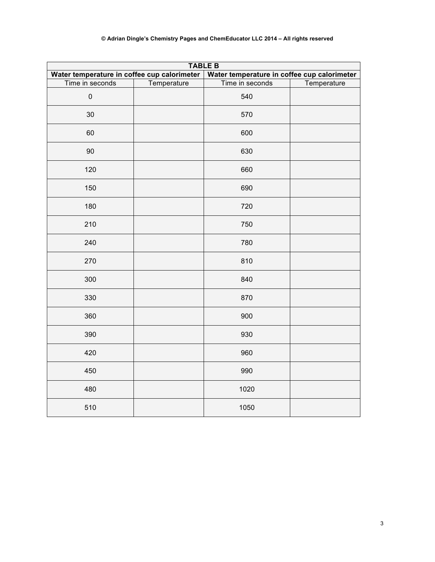| <b>TABLE B</b>                              |             |                                             |             |  |
|---------------------------------------------|-------------|---------------------------------------------|-------------|--|
| Water temperature in coffee cup calorimeter |             | Water temperature in coffee cup calorimeter |             |  |
| Time in seconds                             | Temperature | Time in seconds                             | Temperature |  |
| $\pmb{0}$                                   |             | 540                                         |             |  |
| 30                                          |             | 570                                         |             |  |
| 60                                          |             | 600                                         |             |  |
| 90                                          |             | 630                                         |             |  |
| 120                                         |             | 660                                         |             |  |
| 150                                         |             | 690                                         |             |  |
| 180                                         |             | 720                                         |             |  |
| 210                                         |             | 750                                         |             |  |
| 240                                         |             | 780                                         |             |  |
| 270                                         |             | 810                                         |             |  |
| 300                                         |             | 840                                         |             |  |
| 330                                         |             | 870                                         |             |  |
| 360                                         |             | 900                                         |             |  |
| 390                                         |             | 930                                         |             |  |
| 420                                         |             | 960                                         |             |  |
| 450                                         |             | 990                                         |             |  |
| 480                                         |             | 1020                                        |             |  |
| 510                                         |             | 1050                                        |             |  |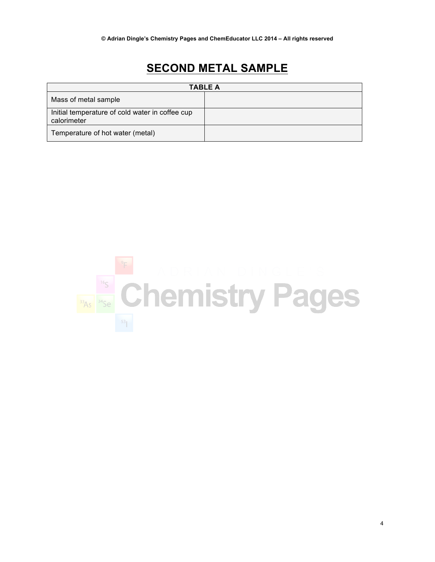# **SECOND METAL SAMPLE**

| <b>TABLE A</b>                                                 |  |  |
|----------------------------------------------------------------|--|--|
| Mass of metal sample                                           |  |  |
| Initial temperature of cold water in coffee cup<br>calorimeter |  |  |
| Temperature of hot water (metal)                               |  |  |

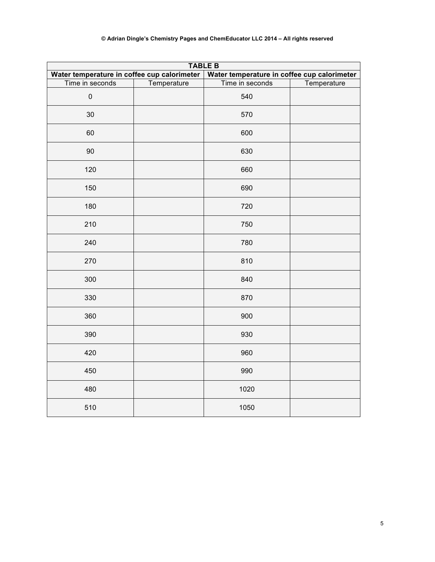| <b>TABLE B</b>                              |             |                                             |             |  |
|---------------------------------------------|-------------|---------------------------------------------|-------------|--|
| Water temperature in coffee cup calorimeter |             | Water temperature in coffee cup calorimeter |             |  |
| Time in seconds                             | Temperature | Time in seconds                             | Temperature |  |
| $\pmb{0}$                                   |             | 540                                         |             |  |
| 30                                          |             | 570                                         |             |  |
| 60                                          |             | 600                                         |             |  |
| 90                                          |             | 630                                         |             |  |
| 120                                         |             | 660                                         |             |  |
| 150                                         |             | 690                                         |             |  |
| 180                                         |             | 720                                         |             |  |
| 210                                         |             | 750                                         |             |  |
| 240                                         |             | 780                                         |             |  |
| 270                                         |             | 810                                         |             |  |
| 300                                         |             | 840                                         |             |  |
| 330                                         |             | 870                                         |             |  |
| 360                                         |             | 900                                         |             |  |
| 390                                         |             | 930                                         |             |  |
| 420                                         |             | 960                                         |             |  |
| 450                                         |             | 990                                         |             |  |
| 480                                         |             | 1020                                        |             |  |
| 510                                         |             | 1050                                        |             |  |